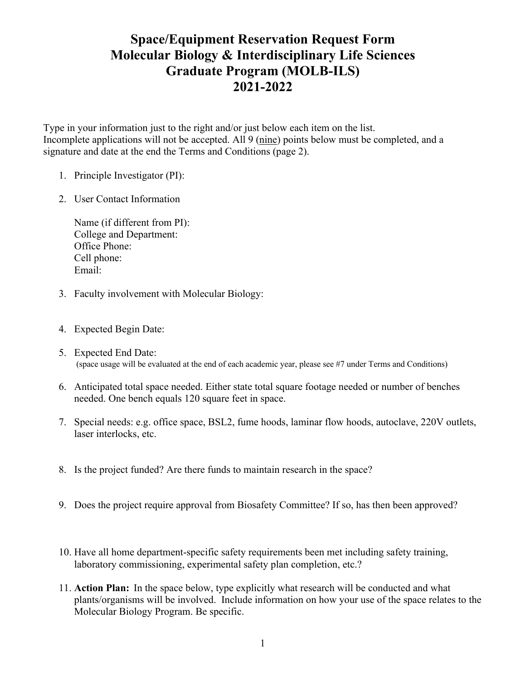## **Space/Equipment Reservation Request Form Molecular Biology & Interdisciplinary Life Sciences Graduate Program (MOLB-ILS) 2021-2022**

Type in your information just to the right and/or just below each item on the list. Incomplete applications will not be accepted. All 9 (nine) points below must be completed, and a signature and date at the end the Terms and Conditions (page 2).

- 1. Principle Investigator (PI):
- 2. User Contact Information

Name (if different from PI): College and Department: Office Phone: Cell phone: Email:

- 3. Faculty involvement with Molecular Biology:
- 4. Expected Begin Date:
- 5. Expected End Date: (space usage will be evaluated at the end of each academic year, please see #7 under Terms and Conditions)
- 6. Anticipated total space needed. Either state total square footage needed or number of benches needed. One bench equals 120 square feet in space.
- 7. Special needs: e.g. office space, BSL2, fume hoods, laminar flow hoods, autoclave, 220V outlets, laser interlocks, etc.
- 8. Is the project funded? Are there funds to maintain research in the space?
- 9. Does the project require approval from Biosafety Committee? If so, has then been approved?
- 10. Have all home department-specific safety requirements been met including safety training, laboratory commissioning, experimental safety plan completion, etc.?
- 11. **Action Plan:** In the space below, type explicitly what research will be conducted and what plants/organisms will be involved. Include information on how your use of the space relates to the Molecular Biology Program. Be specific.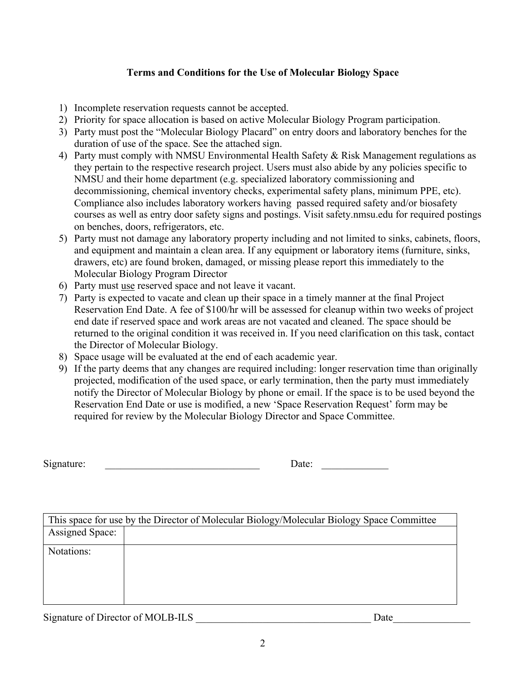## **Terms and Conditions for the Use of Molecular Biology Space**

- 1) Incomplete reservation requests cannot be accepted.
- 2) Priority for space allocation is based on active Molecular Biology Program participation.
- 3) Party must post the "Molecular Biology Placard" on entry doors and laboratory benches for the duration of use of the space. See the attached sign.
- 4) Party must comply with NMSU Environmental Health Safety & Risk Management regulations as they pertain to the respective research project. Users must also abide by any policies specific to NMSU and their home department (e.g. specialized laboratory commissioning and decommissioning, chemical inventory checks, experimental safety plans, minimum PPE, etc). Compliance also includes laboratory workers having passed required safety and/or biosafety courses as well as entry door safety signs and postings. Visit safety.nmsu.edu for required postings on benches, doors, refrigerators, etc.
- 5) Party must not damage any laboratory property including and not limited to sinks, cabinets, floors, and equipment and maintain a clean area. If any equipment or laboratory items (furniture, sinks, drawers, etc) are found broken, damaged, or missing please report this immediately to the Molecular Biology Program Director
- 6) Party must use reserved space and not leave it vacant.
- 7) Party is expected to vacate and clean up their space in a timely manner at the final Project Reservation End Date. A fee of \$100/hr will be assessed for cleanup within two weeks of project end date if reserved space and work areas are not vacated and cleaned. The space should be returned to the original condition it was received in. If you need clarification on this task, contact the Director of Molecular Biology.
- 8) Space usage will be evaluated at the end of each academic year.
- 9) If the party deems that any changes are required including: longer reservation time than originally projected, modification of the used space, or early termination, then the party must immediately notify the Director of Molecular Biology by phone or email. If the space is to be used beyond the Reservation End Date or use is modified, a new 'Space Reservation Request' form may be required for review by the Molecular Biology Director and Space Committee.

| $\sim$<br>Signature: | $\sim$ |  |
|----------------------|--------|--|
|                      |        |  |

|                        | This space for use by the Director of Molecular Biology/Molecular Biology Space Committee |
|------------------------|-------------------------------------------------------------------------------------------|
| <b>Assigned Space:</b> |                                                                                           |
| Notations:             |                                                                                           |
|                        |                                                                                           |

Signature of Director of MOLB-ILS **Date**